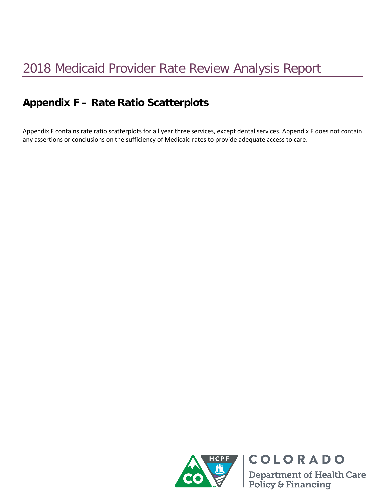## **Appendix F – Rate Ratio Scatterplots**

Appendix F contains rate ratio scatterplots for all year three services, except dental services. Appendix F does not contain any assertions or conclusions on the sufficiency of Medicaid rates to provide adequate access to care.



COLORADO **Department of Health Care<br>Policy & Financing**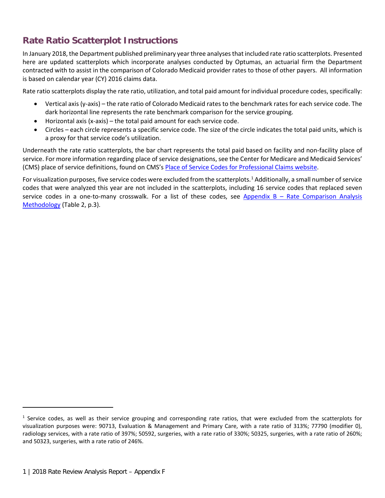## **Rate Ratio Scatterplot Instructions**

In January 2018, the Department published preliminary year three analyses that included rate ratio scatterplots. Presented here are updated scatterplots which incorporate analyses conducted by Optumas, an actuarial firm the Department contracted with to assist in the comparison of Colorado Medicaid provider rates to those of other payers. All information is based on calendar year (CY) 2016 claims data.

Rate ratio scatterplots display the rate ratio, utilization, and total paid amount for individual procedure codes, specifically:

- Vertical axis (y-axis) the rate ratio of Colorado Medicaid rates to the benchmark rates for each service code. The dark horizontal line represents the rate benchmark comparison for the service grouping.
- Horizontal axis (x-axis) the total paid amount for each service code.
- Circles each circle represents a specific service code. The size of the circle indicates the total paid units, which is a proxy for that service code's utilization.

Underneath the rate ratio scatterplots, the bar chart represents the total paid based on facility and non-facility place of service. For more information regarding place of service designations, see the Center for Medicare and Medicaid Services' (CMS) place of service definitions, found on CMS'[s Place of Service Codes for Professional Claims website.](https://www.cms.gov/Medicare/Coding/place-of-service-codes/Place_of_Service_Code_Set.html)

For visualization purposes, five service codes were excluded from the scatterplots.<sup>[1](#page-1-0)</sup> Additionally, a small number of service codes that were analyzed this year are not included in the scatterplots, including 16 service codes that replaced seven service codes in a one-to-many crosswalk. For a list of these codes, see Appendix B - Rate Comparison Analysis [Methodology](https://www.colorado.gov/pacific/sites/default/files/Appendix%20B%20-%20Rate%20Comparison%20Analysis%20Methodology.pdf) (Table 2, p.3).

 $\overline{\phantom{a}}$ 

<span id="page-1-0"></span> $1$  Service codes, as well as their service grouping and corresponding rate ratios, that were excluded from the scatterplots for visualization purposes were: 90713, Evaluation & Management and Primary Care, with a rate ratio of 313%; 77790 (modifier 0), radiology services, with a rate ratio of 397%; 50592, surgeries, with a rate ratio of 330%; 50325, surgeries, with a rate ratio of 260%; and 50323, surgeries, with a rate ratio of 246%.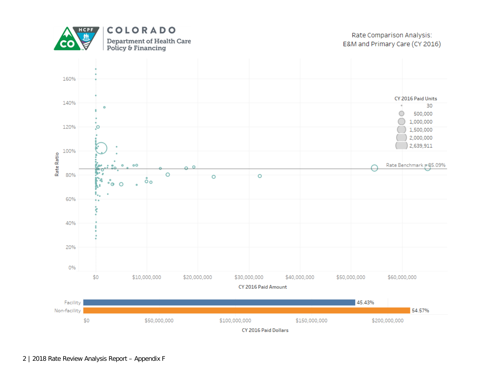

Rate Comparison Analysis: E&M and Primary Care (CY 2016)

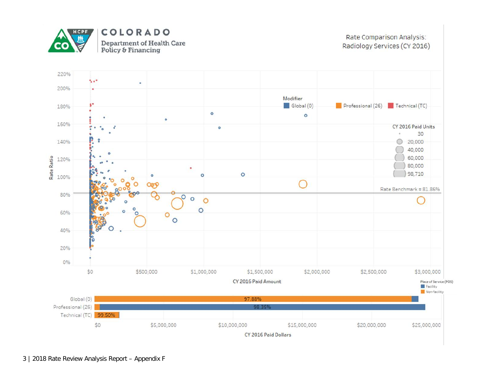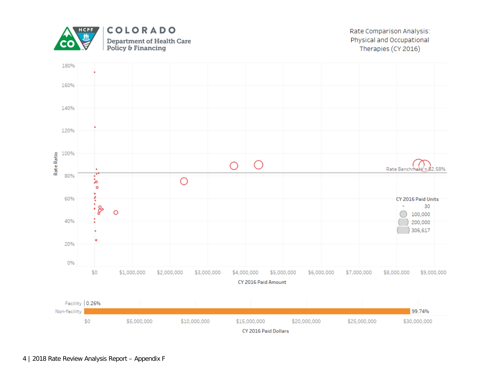

Rate Comparison Analysis: Physical and Occupational Therapies (CY 2016)

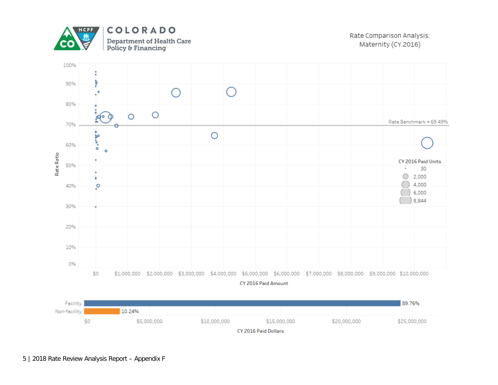

COLORADO Department of Health Care Policy & Financing

Rate Comparison Analysis: Maternity (CY 2016)



CY 2016 Paid Dollars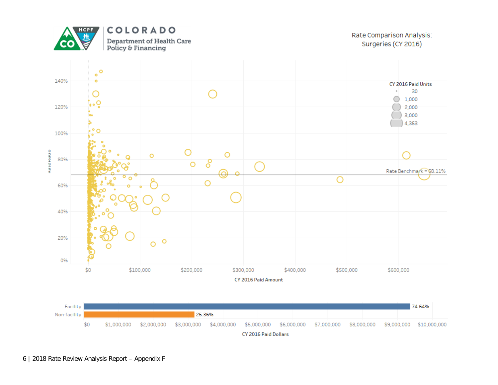

Rate Comparison Analysis: Surgeries (CY 2016)